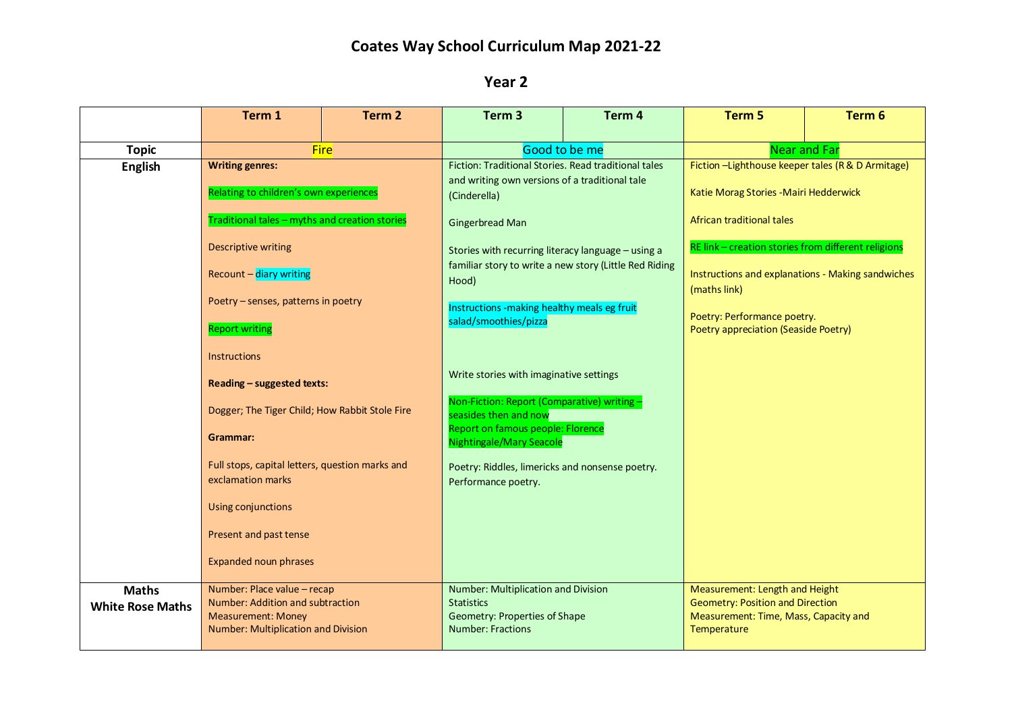## **Coates Way School Curriculum Map 2021-22**

## **Year 2**

|                         | Term 1                                                                                                      | Term 2 | Term <sub>3</sub>                                                                                                      | Term 4 | Term 5                                                                    | Term 6 |
|-------------------------|-------------------------------------------------------------------------------------------------------------|--------|------------------------------------------------------------------------------------------------------------------------|--------|---------------------------------------------------------------------------|--------|
| <b>Topic</b>            | <b>Fire</b>                                                                                                 |        | Good to be me                                                                                                          |        | <b>Near and Far</b>                                                       |        |
| <b>English</b>          | <b>Writing genres:</b><br>Relating to children's own experiences                                            |        | Fiction: Traditional Stories. Read traditional tales<br>and writing own versions of a traditional tale<br>(Cinderella) |        | Fiction -Lighthouse keeper tales (R & D Armitage)                         |        |
|                         |                                                                                                             |        |                                                                                                                        |        | Katie Morag Stories - Mairi Hedderwick                                    |        |
|                         | Traditional tales - myths and creation stories                                                              |        | <b>Gingerbread Man</b>                                                                                                 |        | African traditional tales                                                 |        |
|                         | <b>Descriptive writing</b>                                                                                  |        | Stories with recurring literacy language - using a                                                                     |        | RE link - creation stories from different religions                       |        |
|                         | Recount - diary writing<br>Poetry – senses, patterns in poetry<br><b>Report writing</b>                     |        | familiar story to write a new story (Little Red Riding<br>Hood)                                                        |        | Instructions and explanations - Making sandwiches<br>(maths link)         |        |
|                         |                                                                                                             |        | Instructions -making healthy meals eg fruit<br>salad/smoothies/pizza                                                   |        | Poetry: Performance poetry.<br>Poetry appreciation (Seaside Poetry)       |        |
|                         |                                                                                                             |        |                                                                                                                        |        |                                                                           |        |
|                         | <b>Instructions</b><br>Reading - suggested texts:<br>Dogger; The Tiger Child; How Rabbit Stole Fire         |        |                                                                                                                        |        |                                                                           |        |
|                         |                                                                                                             |        | Write stories with imaginative settings                                                                                |        |                                                                           |        |
|                         |                                                                                                             |        | Non-Fiction: Report (Comparative) writing -<br>seasides then and now<br>Report on famous people: Florence              |        |                                                                           |        |
|                         | Grammar:                                                                                                    |        | <b>Nightingale/Mary Seacole</b>                                                                                        |        |                                                                           |        |
|                         | Full stops, capital letters, question marks and<br>exclamation marks                                        |        | Poetry: Riddles, limericks and nonsense poetry.<br>Performance poetry.                                                 |        |                                                                           |        |
|                         | Using conjunctions                                                                                          |        |                                                                                                                        |        |                                                                           |        |
|                         | Present and past tense                                                                                      |        |                                                                                                                        |        |                                                                           |        |
|                         | <b>Expanded noun phrases</b>                                                                                |        |                                                                                                                        |        |                                                                           |        |
| <b>Maths</b>            | Number: Place value - recap                                                                                 |        | Number: Multiplication and Division<br><b>Statistics</b>                                                               |        | Measurement: Length and Height<br><b>Geometry: Position and Direction</b> |        |
| <b>White Rose Maths</b> | Number: Addition and subtraction<br><b>Measurement: Money</b><br><b>Number: Multiplication and Division</b> |        | <b>Geometry: Properties of Shape</b><br><b>Number: Fractions</b>                                                       |        | Measurement: Time, Mass, Capacity and<br>Temperature                      |        |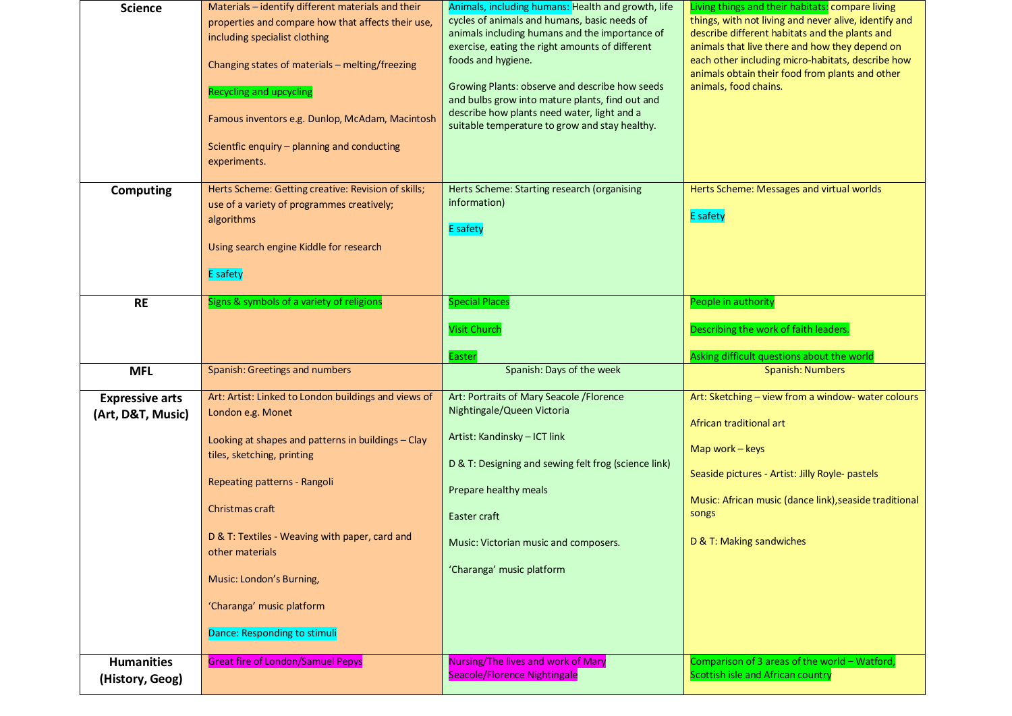|                                      | Scientfic enquiry - planning and conducting                                      | suitable temperature to grow and stay healthy.                          |                                                                                    |
|--------------------------------------|----------------------------------------------------------------------------------|-------------------------------------------------------------------------|------------------------------------------------------------------------------------|
|                                      | experiments.                                                                     |                                                                         |                                                                                    |
| <b>Computing</b>                     | Herts Scheme: Getting creative: Revision of skills;                              | Herts Scheme: Starting research (organising<br>information)             | Herts Scheme: Messages and virtual worlds                                          |
|                                      | use of a variety of programmes creatively;<br>algorithms                         | <b>E</b> safety                                                         | <b>E</b> safety                                                                    |
|                                      | Using search engine Kiddle for research                                          |                                                                         |                                                                                    |
|                                      | <b>E</b> safety                                                                  |                                                                         |                                                                                    |
| <b>RE</b>                            | Signs & symbols of a variety of religions                                        | <b>Special Places</b>                                                   | People in authority                                                                |
|                                      |                                                                                  | <b>Visit Church</b>                                                     | Describing the work of faith leaders.                                              |
|                                      |                                                                                  | Easter                                                                  | Asking difficult questions about the world                                         |
|                                      |                                                                                  |                                                                         |                                                                                    |
| <b>MFL</b>                           | Spanish: Greetings and numbers                                                   | Spanish: Days of the week                                               | <b>Spanish: Numbers</b>                                                            |
| <b>Expressive arts</b>               | Art: Artist: Linked to London buildings and views of                             | Art: Portraits of Mary Seacole / Florence<br>Nightingale/Queen Victoria | Art: Sketching - view from a window- water colours                                 |
| (Art, D&T, Music)                    | London e.g. Monet                                                                | Artist: Kandinsky - ICT link                                            | African traditional art                                                            |
|                                      | Looking at shapes and patterns in buildings - Clay<br>tiles, sketching, printing | D & T: Designing and sewing felt frog (science link)                    | Map work $-$ keys                                                                  |
|                                      | Repeating patterns - Rangoli                                                     | Prepare healthy meals                                                   | Seaside pictures - Artist: Jilly Royle- pastels                                    |
|                                      | Christmas craft                                                                  | Easter craft                                                            | Music: African music (dance link), seaside traditional<br>songs                    |
|                                      | D & T: Textiles - Weaving with paper, card and                                   | Music: Victorian music and composers.                                   | D & T: Making sandwiches                                                           |
|                                      | other materials<br>Music: London's Burning,                                      | 'Charanga' music platform                                               |                                                                                    |
|                                      | 'Charanga' music platform                                                        |                                                                         |                                                                                    |
|                                      | Dance: Responding to stimuli                                                     |                                                                         |                                                                                    |
|                                      |                                                                                  |                                                                         |                                                                                    |
| <b>Humanities</b><br>(History, Geog) | <b>Great fire of London/Samuel Pepys</b>                                         | Nursing/The lives and work of Mary<br>Seacole/Florence Nightingale      | Comparison of 3 areas of the world - Watford,<br>Scottish isle and African country |